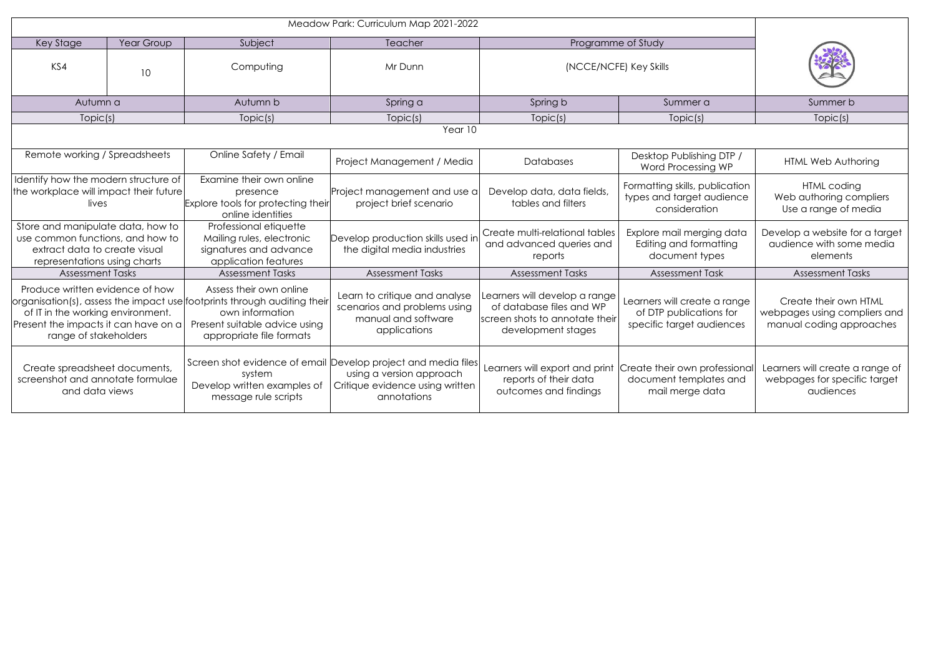| Key Stage                                                                                                                                                                                                         | Year Group | Subject                                                                                                 | Teacher                                                                                                       | Programme of Study                                                                                                |                                                                                                           |                                                                                   |  |  |  |
|-------------------------------------------------------------------------------------------------------------------------------------------------------------------------------------------------------------------|------------|---------------------------------------------------------------------------------------------------------|---------------------------------------------------------------------------------------------------------------|-------------------------------------------------------------------------------------------------------------------|-----------------------------------------------------------------------------------------------------------|-----------------------------------------------------------------------------------|--|--|--|
| KS4                                                                                                                                                                                                               | 10         | Computing                                                                                               | Mr Dunn                                                                                                       | (NCCE/NCFE) Key Skills                                                                                            |                                                                                                           |                                                                                   |  |  |  |
| Autumn a                                                                                                                                                                                                          |            | Autumn b                                                                                                | Spring a                                                                                                      | Spring b                                                                                                          | Summer a                                                                                                  | Summer b                                                                          |  |  |  |
| Topic(s)                                                                                                                                                                                                          |            | Topic(s)                                                                                                | Topic(s)                                                                                                      | Topic(s)                                                                                                          | Topic(s)                                                                                                  | Topic(s)                                                                          |  |  |  |
| Year 10                                                                                                                                                                                                           |            |                                                                                                         |                                                                                                               |                                                                                                                   |                                                                                                           |                                                                                   |  |  |  |
| Remote working / Spreadsheets                                                                                                                                                                                     |            | Online Safety / Email                                                                                   | Project Management / Media                                                                                    | Databases                                                                                                         | Desktop Publishing DTP /<br>Word Processing WP                                                            | <b>HTML Web Authoring</b>                                                         |  |  |  |
| Identify how the modern structure of<br>the workplace will impact their future<br>lives                                                                                                                           |            | Examine their own online<br>presence<br><b>Explore tools for protecting their</b><br>online identities  | Project management and use a<br>project brief scenario                                                        | Develop data, data fields,<br>tables and filters                                                                  | Formatting skills, publication<br>types and target audience<br>consideration                              | HTML coding<br>Web authoring compliers<br>Use a range of media                    |  |  |  |
| Store and manipulate data, how to<br>use common functions, and how to<br>extract data to create visual<br>representations using charts                                                                            |            | Professional etiquette<br>Mailing rules, electronic<br>signatures and advance<br>application features   | Develop production skills used in<br>the digital media industries                                             | Create multi-relational tables<br>and advanced queries and<br>reports                                             | Explore mail merging data<br>Editing and formatting<br>document types                                     | Develop a website for a target<br>audience with some media<br>elements            |  |  |  |
| <b>Assessment Tasks</b>                                                                                                                                                                                           |            | <b>Assessment Tasks</b>                                                                                 | <b>Assessment Tasks</b>                                                                                       | <b>Assessment Tasks</b>                                                                                           | <b>Assessment Task</b>                                                                                    | <b>Assessment Tasks</b>                                                           |  |  |  |
| Produce written evidence of how<br>organisation(s), assess the impact use footprints through auditing their<br>of IT in the working environment.<br>Present the impacts it can have on a<br>range of stakeholders |            | Assess their own online<br>own information<br>Present suitable advice using<br>appropriate file formats | Learn to critique and analyse<br>scenarios and problems using<br>manual and software<br>applications          | Learners will develop a range<br>of database files and WP<br>screen shots to annotate their<br>development stages | Learners will create a range<br>of DTP publications for<br>specific target audiences                      | Create their own HTML<br>webpages using compliers and<br>manual coding approaches |  |  |  |
| Create spreadsheet documents,<br>screenshot and annotate formulae<br>and data views                                                                                                                               |            | Screen shot evidence of email<br>system<br>Develop written examples of<br>message rule scripts          | Develop project and media files<br>using a version approach<br>Critique evidence using written<br>annotations | reports of their data<br>outcomes and findings                                                                    | Learners will export and print Create their own professional<br>document templates and<br>mail merge data | Learners will create a range of<br>webpages for specific target<br>audiences      |  |  |  |